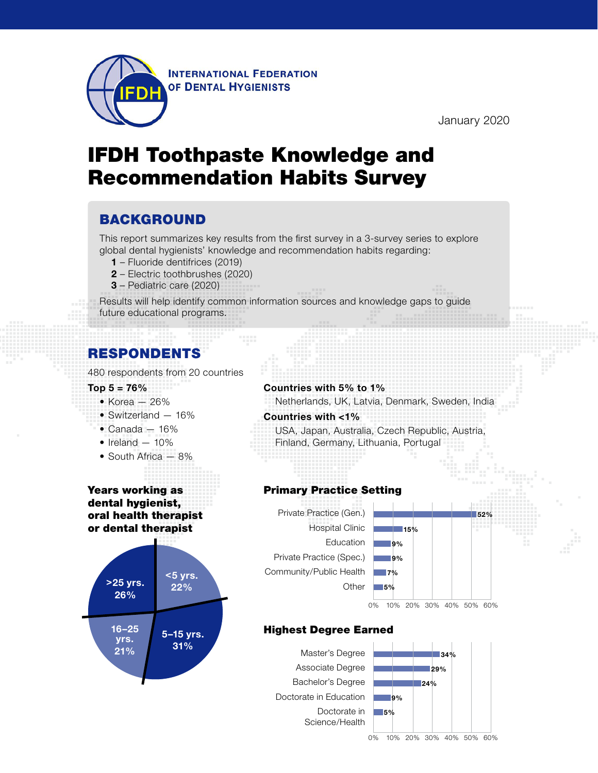

January 2020

# IFDH Toothpaste Knowledge and Recommendation Habits Survey

### BACKGROUND

This report summarizes key results from the first survey in a 3-survey series to explore global dental hygienists' knowledge and recommendation habits regarding:

- **1** Fluoride dentifrices (2019)
- **2** Electric toothbrushes (2020)
- **3** Pediatric care (2020)

Results will help identify common information sources and knowledge gaps to guide future educational programs.

### RESPONDENTS

480 respondents from 20 countries

- **Top 5 = 76%**
	- $\bullet$  Korea 26%
	- Switzerland 16%
	- Canada 16%
	- $\bullet$  Ireland  $-10\%$
	- South Africa 8%

#### Years working as dental hygienist, oral health therapist or dental therapist



#### **Countries with 5% to 1%**

Netherlands, UK, Latvia, Denmark, Sweden, India

#### **Countries with <1%**

USA, Japan, Australia, Czech Republic, Austria, Finland, Germany, Lithuania, Portugal

#### Primary Practice Setting





#### Highest Degree Earned

Master's Degree Associate Degree Bachelor's Degree Doctorate in Education Doctorate in Science/Health

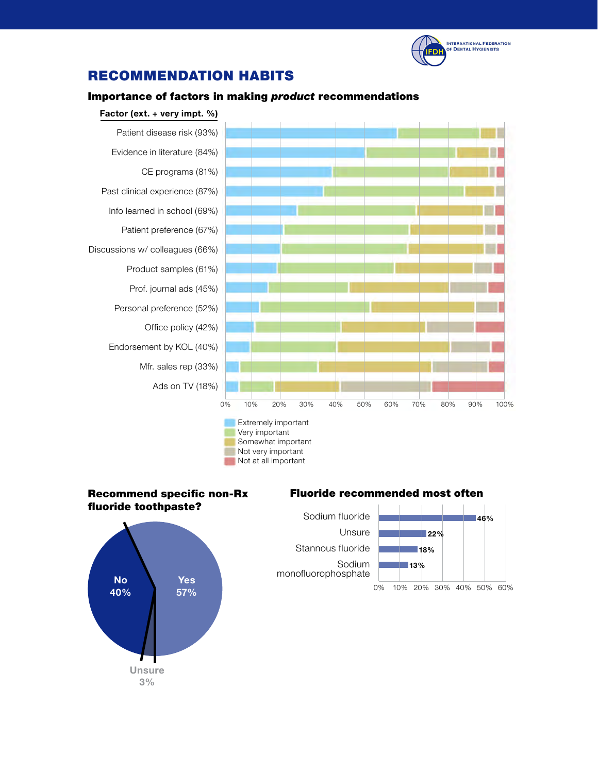

## RECOMMENDATION HABITS

#### Importance of factors in making *product* recommendations



#### Recommend specific non-Rx fluoride toothpaste? Very important



### x Fluoride recommended most often

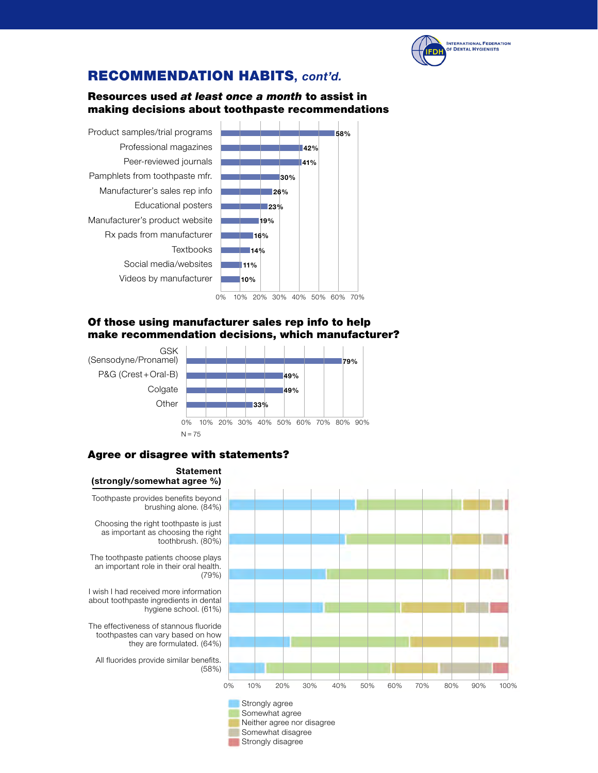

### RECOMMENDATION HABITS**,** *cont'd.*

#### Resources used *at least once a month* to assist in making decisions about toothpaste recommendations



0% 10% 20% 30% 40% 50% 60% 70%

#### Of those using manufacturer sales rep info to help make recommendation decisions, which manufacturer?



#### Agree or disagree with statements?



Strongly disagree